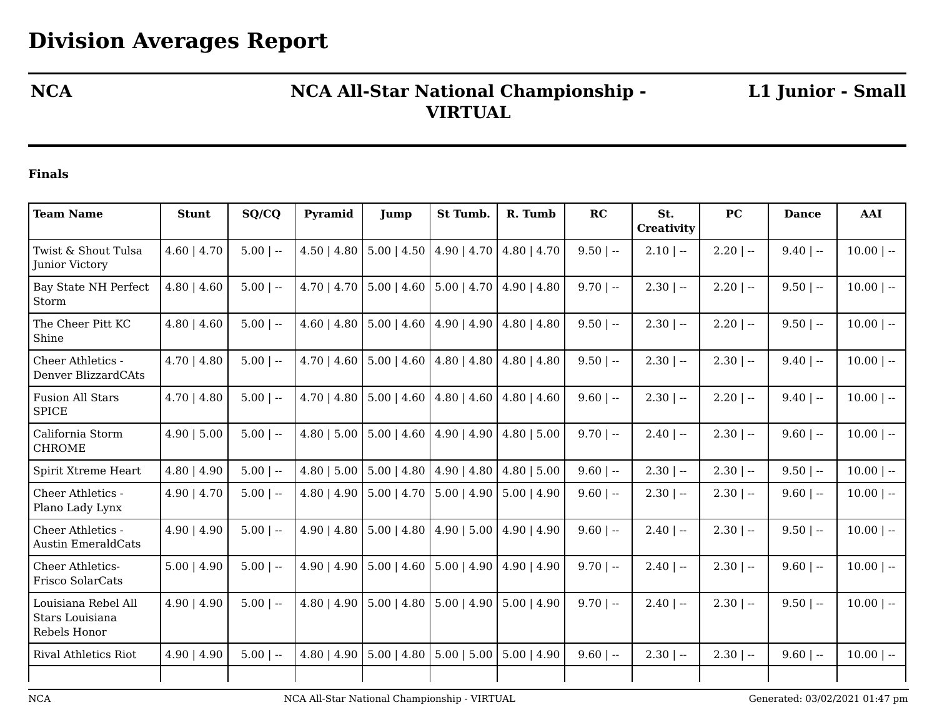## **NCA NCA All-Star National Championship - VIRTUAL**

**L1 Junior - Small**

## **Finals**

| <b>Team Name</b>                                       | <b>Stunt</b>     | SQ/CQ       | Pyramid          | <b>Jump</b>           | St Tumb.                             | R. Tumb                     | RC          | St.<br>Creativity | <b>PC</b>    | <b>Dance</b> | <b>AAI</b>   |
|--------------------------------------------------------|------------------|-------------|------------------|-----------------------|--------------------------------------|-----------------------------|-------------|-------------------|--------------|--------------|--------------|
| Twist & Shout Tulsa<br><b>Junior Victory</b>           | $4.60 \mid 4.70$ | $5.00$   -- | $4.50$   $4.80$  | $5.00$   $4.50$       | $4.90 \mid 4.70$                     | $4.80$   $4.70$             | $9.50$   -- | $2.10$   --       | $2.20$   --  | $9.40$   --  | $10.00$   -- |
| <b>Bay State NH Perfect</b><br>Storm                   | $4.80$   $4.60$  | $5.00$   -- | $4.70$   $4.70$  | $5.00 \mid 4.60 \mid$ | $5.00 \mid 4.70 \mid 4.90 \mid 4.80$ |                             | $9.70$   -- | $2.30$   --       | $2.20$   --  | $9.50$   --  | $10.00$   -- |
| The Cheer Pitt KC<br>Shine                             | $4.80$   $4.60$  | $5.00$   -- | $4.60$   $4.80$  | $5.00 \mid 4.60 \mid$ | $4.90 \mid 4.90$                     | $4.80$   $4.80$             | $9.50$   -- | $2.30$   $-$      | $2.20$   $-$ | $9.50$   --  | $10.00$   -- |
| Cheer Athletics -<br>Denver BlizzardCAts               | $4.70$   $4.80$  | $5.00$   -- | $4.70$   $4.60$  | $5.00 \mid 4.60$      | $4.80$   $4.80$                      | $4.80$   $4.80$             | $9.50$   -- | $2.30$   --       | $2.30$   --  | $9.40$   --  | $10.00$   -- |
| <b>Fusion All Stars</b><br><b>SPICE</b>                | $4.70$   $4.80$  | $5.00$   -- | $4.70$   $4.80$  | $5.00$   4.60         | $4.80 \mid 4.60 \mid$                | $4.80$   $4.60$             | $9.60$   -- | $2.30$   $-$      | $2.20$   $-$ | $9.40$   --  | $10.00$   -- |
| California Storm<br><b>CHROME</b>                      | 4.90   5.00      | $5.00$   -- | $4.80$   5.00    | $5.00$   4.60         | $4.90 \mid 4.90 \mid$                | $4.80$   5.00               | $9.70$   -- | $2.40$   $-$      | $2.30$   --  | $9.60$   --  | $10.00$   -- |
| Spirit Xtreme Heart                                    | $4.80$   $4.90$  | $5.00$   -- | $4.80$   5.00    | $5.00$   4.80         | $4.90 \mid 4.80$                     | $4.80$   5.00               | $9.60$   -- | $2.30$   --       | $2.30$   $-$ | $9.50$   --  | $10.00$   -- |
| Cheer Athletics -<br>Plano Lady Lynx                   | $4.90 \mid 4.70$ | $5.00$   -- | $4.80$   $4.90$  | $5.00 \mid 4.70 \mid$ | $5.00 \mid 4.90$                     | $5.00$   4.90               | $9.60$   -- | $2.30$   --       | $2.30$   --  | $9.60$   --  | $10.00$   -- |
| Cheer Athletics -<br><b>Austin EmeraldCats</b>         | $4.90 \mid 4.90$ | $5.00$   -- | $4.90 \mid 4.80$ | $5.00 \mid 4.80$      | $4.90$   5.00                        | $4.90$   $4.90$             | $9.60$   -- | $2.40$   --       | $2.30$   --  | $9.50$   --  | $10.00$   -- |
| <b>Cheer Athletics-</b><br>Frisco SolarCats            | $5.00$   4.90    | $5.00$   -- | $4.90 \mid 4.90$ | $5.00$   $4.60$       | $5.00$   4.90                        | $4.90 \mid 4.90$            | $9.70$   -- | $2.40$   $-$      | $2.30$   --  | $9.60$   --  | $10.00$   -- |
| Louisiana Rebel All<br>Stars Louisiana<br>Rebels Honor | $4.90 \mid 4.90$ | $5.00$   -- | $4.80$   $4.90$  | $5.00$   4.80         |                                      | $5.00$   4.90   5.00   4.90 | $9.70$   -- | $2.40$   $-$      | $2.30$   --  | $9.50$   --  | $10.00$   -- |
| <b>Rival Athletics Riot</b>                            | $4.90 \mid 4.90$ | $5.00$   -- | $4.80$   $4.90$  | $5.00 \mid 4.80$      | $5.00$   $5.00$                      | $5.00$   4.90               | $9.60$   -- | $2.30$   --       | $2.30$   --  | $9.60$   --  | $10.00$   -- |
|                                                        |                  |             |                  |                       |                                      |                             |             |                   |              |              |              |